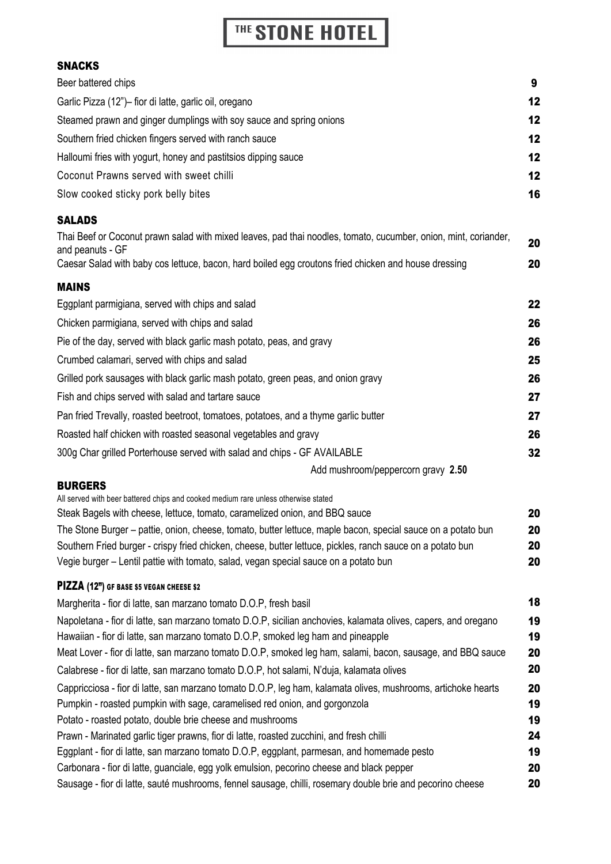## THE STONE HOTEL

## SNACKS

| Beer battered chips                                                                                                                                                                    | 9        |
|----------------------------------------------------------------------------------------------------------------------------------------------------------------------------------------|----------|
| Garlic Pizza (12")- fior di latte, garlic oil, oregano                                                                                                                                 | 12       |
| Steamed prawn and ginger dumplings with soy sauce and spring onions                                                                                                                    | 12       |
| Southern fried chicken fingers served with ranch sauce                                                                                                                                 | 12       |
| Halloumi fries with yogurt, honey and pastitsios dipping sauce                                                                                                                         | 12       |
| Coconut Prawns served with sweet chilli                                                                                                                                                | 12       |
| Slow cooked sticky pork belly bites                                                                                                                                                    | 16       |
| <b>SALADS</b>                                                                                                                                                                          |          |
| Thai Beef or Coconut prawn salad with mixed leaves, pad thai noodles, tomato, cucumber, onion, mint, coriander,<br>and peanuts - GF                                                    | 20       |
| Caesar Salad with baby cos lettuce, bacon, hard boiled egg croutons fried chicken and house dressing                                                                                   | 20       |
| <b>MAINS</b>                                                                                                                                                                           |          |
| Eggplant parmigiana, served with chips and salad                                                                                                                                       | 22       |
| Chicken parmigiana, served with chips and salad                                                                                                                                        | 26       |
| Pie of the day, served with black garlic mash potato, peas, and gravy                                                                                                                  | 26       |
| Crumbed calamari, served with chips and salad                                                                                                                                          | 25       |
| Grilled pork sausages with black garlic mash potato, green peas, and onion gravy                                                                                                       | 26       |
| Fish and chips served with salad and tartare sauce                                                                                                                                     | 27       |
| Pan fried Trevally, roasted beetroot, tomatoes, potatoes, and a thyme garlic butter                                                                                                    | 27       |
| Roasted half chicken with roasted seasonal vegetables and gravy                                                                                                                        | 26       |
| 300g Char grilled Porterhouse served with salad and chips - GF AVAILABLE                                                                                                               | 32       |
| Add mushroom/peppercorn gravy 2.50                                                                                                                                                     |          |
| <b>BURGERS</b>                                                                                                                                                                         |          |
| All served with beer battered chips and cooked medium rare unless otherwise stated<br>Steak Bagels with cheese, lettuce, tomato, caramelized onion, and BBQ sauce                      | 20       |
| The Stone Burger – pattie, onion, cheese, tomato, butter lettuce, maple bacon, special sauce on a potato bun                                                                           | 20       |
| Southern Fried burger - crispy fried chicken, cheese, butter lettuce, pickles, ranch sauce on a potato bun                                                                             | 20       |
| Vegie burger - Lentil pattie with tomato, salad, vegan special sauce on a potato bun                                                                                                   | 20       |
| PIZZA (12") GF BASE \$5 VEGAN CHEESE \$2                                                                                                                                               |          |
| Margherita - fior di latte, san marzano tomato D.O.P, fresh basil                                                                                                                      | 18       |
| Napoletana - fior di latte, san marzano tomato D.O.P, sicilian anchovies, kalamata olives, capers, and oregano                                                                         | 19       |
| Hawaiian - fior di latte, san marzano tomato D.O.P, smoked leg ham and pineapple                                                                                                       | 19       |
| Meat Lover - fior di latte, san marzano tomato D.O.P, smoked leg ham, salami, bacon, sausage, and BBQ sauce                                                                            | 20       |
| Calabrese - fior di latte, san marzano tomato D.O.P, hot salami, N'duja, kalamata olives                                                                                               | 20       |
| Cappricciosa - fior di latte, san marzano tomato D.O.P, leg ham, kalamata olives, mushrooms, artichoke hearts                                                                          | 20       |
| Pumpkin - roasted pumpkin with sage, caramelised red onion, and gorgonzola                                                                                                             | 19       |
| Potato - roasted potato, double brie cheese and mushrooms                                                                                                                              | 19<br>24 |
| Prawn - Marinated garlic tiger prawns, fior di latte, roasted zucchini, and fresh chilli<br>Eggplant - fior di latte, san marzano tomato D.O.P, eggplant, parmesan, and homemade pesto | 19       |
| Carbonara - fior di latte, guanciale, egg yolk emulsion, pecorino cheese and black pepper                                                                                              | 20       |
| Sausage - fior di latte, sauté mushrooms, fennel sausage, chilli, rosemary double brie and pecorino cheese                                                                             | 20       |